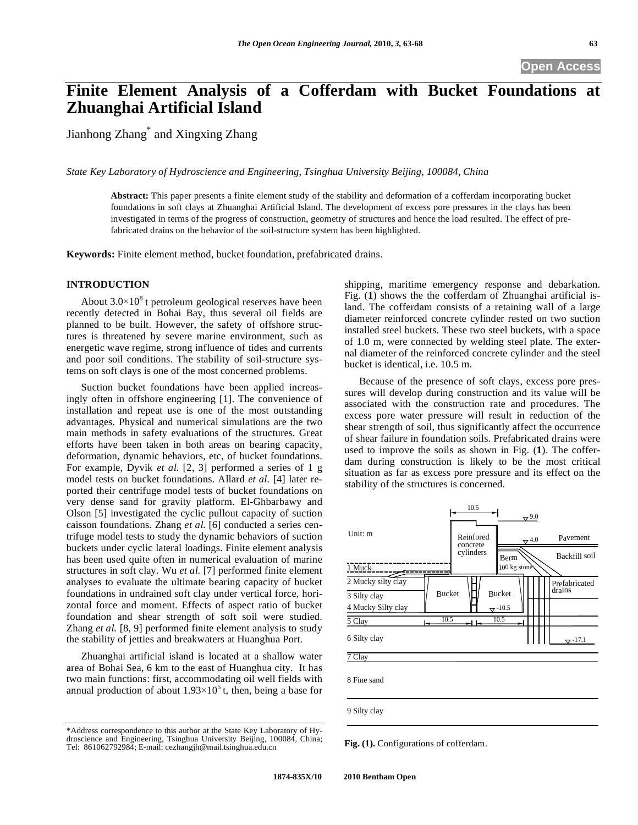# **Finite Element Analysis of a Cofferdam with Bucket Foundations at Zhuanghai Artificial Island**

Jianhong Zhang\* and Xingxing Zhang

*State Key Laboratory of Hydroscience and Engineering, Tsinghua University Beijing, 100084, China* 

**Abstract:** This paper presents a finite element study of the stability and deformation of a cofferdam incorporating bucket foundations in soft clays at Zhuanghai Artificial Island. The development of excess pore pressures in the clays has been investigated in terms of the progress of construction, geometry of structures and hence the load resulted. The effect of prefabricated drains on the behavior of the soil-structure system has been highlighted.

**Keywords:** Finite element method, bucket foundation, prefabricated drains.

## **INTRODUCTION**

About  $3.0\times10^{8}$  t petroleum geological reserves have been recently detected in Bohai Bay, thus several oil fields are planned to be built. However, the safety of offshore structures is threatened by severe marine environment, such as energetic wave regime, strong influence of tides and currents and poor soil conditions. The stability of soil-structure systems on soft clays is one of the most concerned problems.

Suction bucket foundations have been applied increasingly often in offshore engineering [1]. The convenience of installation and repeat use is one of the most outstanding advantages. Physical and numerical simulations are the two main methods in safety evaluations of the structures. Great efforts have been taken in both areas on bearing capacity, deformation, dynamic behaviors, etc, of bucket foundations. For example, Dyvik *et al.* [2, 3] performed a series of 1 g model tests on bucket foundations. Allard *et al.* [4] later reported their centrifuge model tests of bucket foundations on very dense sand for gravity platform. El-Ghbarbawy and Olson [5] investigated the cyclic pullout capacity of suction caisson foundations. Zhang *et al.* [6] conducted a series centrifuge model tests to study the dynamic behaviors of suction buckets under cyclic lateral loadings. Finite element analysis has been used quite often in numerical evaluation of marine structures in soft clay. Wu *et al.* [7] performed finite element analyses to evaluate the ultimate bearing capacity of bucket foundations in undrained soft clay under vertical force, horizontal force and moment. Effects of aspect ratio of bucket foundation and shear strength of soft soil were studied. Zhang *et al.* [8, 9] performed finite element analysis to study the stability of jetties and breakwaters at Huanghua Port.

Zhuanghai artificial island is located at a shallow water area of Bohai Sea, 6 km to the east of Huanghua city. It has two main functions: first, accommodating oil well fields with annual production of about  $1.93\times10^{5}$  t, then, being a base for

\*Address correspondence to this author at the State Key Laboratory of Hydroscience and Engineering, Tsinghua University Beijing, 100084, China; Tel: 861062792984; E-mail: cezhangjh@mail.tsinghua.edu.cn

shipping, maritime emergency response and debarkation. Fig. (**1**) shows the the cofferdam of Zhuanghai artificial island. The cofferdam consists of a retaining wall of a large diameter reinforced concrete cylinder rested on two suction installed steel buckets. These two steel buckets, with a space of 1.0 m, were connected by welding steel plate. The external diameter of the reinforced concrete cylinder and the steel bucket is identical, i.e. 10.5 m.

Because of the presence of soft clays, excess pore pressures will develop during construction and its value will be associated with the construction rate and procedures. The excess pore water pressure will result in reduction of the shear strength of soil, thus significantly affect the occurrence of shear failure in foundation soils. Prefabricated drains were used to improve the soils as shown in Fig. (**1**). The cofferdam during construction is likely to be the most critical situation as far as excess pore pressure and its effect on the stability of the structures is concerned.



**Fig. (1).** Configurations of cofferdam.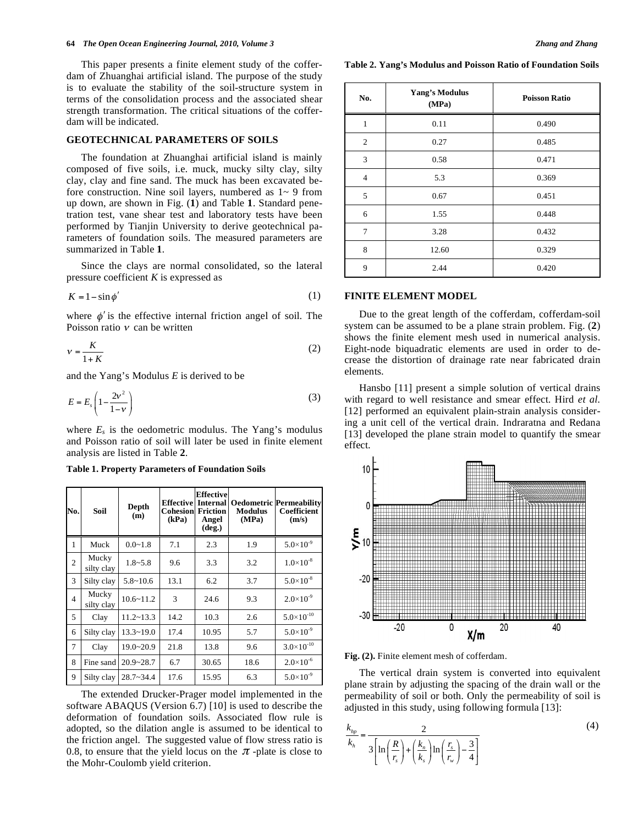#### **64** *The Open Ocean Engineering Journal, 2010, Volume 3 Zhang and Zhang*

This paper presents a finite element study of the cofferdam of Zhuanghai artificial island. The purpose of the study is to evaluate the stability of the soil-structure system in terms of the consolidation process and the associated shear strength transformation. The critical situations of the cofferdam will be indicated.

### **GEOTECHNICAL PARAMETERS OF SOILS**

The foundation at Zhuanghai artificial island is mainly composed of five soils, i.e. muck, mucky silty clay, silty clay, clay and fine sand. The muck has been excavated before construction. Nine soil layers, numbered as 1~ 9 from up down, are shown in Fig. (**1**) and Table **1**. Standard penetration test, vane shear test and laboratory tests have been performed by Tianjin University to derive geotechnical parameters of foundation soils. The measured parameters are summarized in Table **1**.

Since the clays are normal consolidated, so the lateral pressure coefficient *K* is expressed as

$$
K = 1 - \sin \phi' \tag{1}
$$

where  $\phi'$  is the effective internal friction angel of soil. The Poisson ratio  $\nu$  can be written

$$
v = \frac{K}{1+K} \tag{2}
$$

and the Yang's Modulus *E* is derived to be

$$
E = E_s \left( 1 - \frac{2v^2}{1 - v} \right) \tag{3}
$$

where  $E_s$  is the oedometric modulus. The Yang's modulus and Poisson ratio of soil will later be used in finite element analysis are listed in Table **2**.

**Table 1. Property Parameters of Foundation Soils** 

| No.            | Soil                | <b>Depth</b><br>(m) | <b>Effective</b><br><b>Cohesion</b><br>(kPa) | <b>Effective</b><br><b>Internal</b><br><b>Friction</b><br>Angel<br>$(\text{deg.})$ | <b>Modulus</b><br>(MPa) | <b>Oedometric Permeability</b><br>Coefficient<br>(m/s) |
|----------------|---------------------|---------------------|----------------------------------------------|------------------------------------------------------------------------------------|-------------------------|--------------------------------------------------------|
| 1              | Muck                | $0.0 - 1.8$         | 7.1                                          | 2.3                                                                                | 1.9                     | $5.0 \times 10^{-9}$                                   |
| $\overline{c}$ | Mucky<br>silty clay | $1.8 - 5.8$         | 9.6                                          | 3.3                                                                                | 3.2                     | $1.0\times10^{-8}$                                     |
| 3              | Silty clay          | $5.8 - 10.6$        | 13.1                                         | 6.2                                                                                | 3.7                     | $5.0 \times 10^{-8}$                                   |
| $\overline{4}$ | Mucky<br>silty clay | $10.6 \times 11.2$  | 3                                            | 24.6                                                                               | 9.3                     | $2.0 \times 10^{-9}$                                   |
| 5              | Clay                | $11.2 \times 13.3$  | 14.2                                         | 10.3                                                                               | 2.6                     | $5.0 \times 10^{-10}$                                  |
| 6              | Silty clay          | $13.3 - 19.0$       | 17.4                                         | 10.95                                                                              | 5.7                     | $5.0 \times 10^{-9}$                                   |
| 7              | Clay                | $19.0 - 20.9$       | 21.8                                         | 13.8                                                                               | 9.6                     | $3.0 \times 10^{-10}$                                  |
| 8              | Fine sand           | $20.9 - 28.7$       | 6.7                                          | 30.65                                                                              | 18.6                    | $2.0 \times 10^{-6}$                                   |
| 9              | Silty clay          | $28.7 - 34.4$       | 17.6                                         | 15.95                                                                              | 6.3                     | $5.0 \times 10^{-9}$                                   |

The extended Drucker-Prager model implemented in the software ABAQUS (Version 6.7) [10] is used to describe the deformation of foundation soils. Associated flow rule is adopted, so the dilation angle is assumed to be identical to the friction angel. The suggested value of flow stress ratio is 0.8, to ensure that the yield locus on the  $\pi$ -plate is close to the Mohr-Coulomb yield criterion.

**Table 2. Yang's Modulus and Poisson Ratio of Foundation Soils** 

| No.            | <b>Yang's Modulus</b><br>(MPa) | <b>Poisson Ratio</b> |  |
|----------------|--------------------------------|----------------------|--|
| $\mathbf{1}$   | 0.11                           | 0.490                |  |
| $\overline{2}$ | 0.27                           | 0.485                |  |
| 3              | 0.58                           | 0.471                |  |
| $\overline{4}$ | 5.3                            | 0.369                |  |
| 5              | 0.67                           | 0.451                |  |
| 6              | 1.55                           | 0.448                |  |
| 7              | 3.28                           | 0.432                |  |
| 8              | 12.60                          | 0.329                |  |
| 9              | 2.44                           | 0.420                |  |

#### **FINITE ELEMENT MODEL**

Due to the great length of the cofferdam, cofferdam-soil system can be assumed to be a plane strain problem. Fig. (**2**) shows the finite element mesh used in numerical analysis. Eight-node biquadratic elements are used in order to decrease the distortion of drainage rate near fabricated drain elements.

Hansbo [11] present a simple solution of vertical drains with regard to well resistance and smear effect. Hird *et al.*  [12] performed an equivalent plain-strain analysis considering a unit cell of the vertical drain. Indraratna and Redana [13] developed the plane strain model to quantify the smear effect.



**Fig. (2).** Finite element mesh of cofferdam.

The vertical drain system is converted into equivalent plane strain by adjusting the spacing of the drain wall or the permeability of soil or both. Only the permeability of soil is adjusted in this study, using following formula [13]:

$$
\frac{k_{hp}}{k_h} = \frac{2}{3\left[\ln\left(\frac{R}{r_s}\right) + \left(\frac{k_n}{k_s}\right)\ln\left(\frac{r_s}{r_w}\right) - \frac{3}{4}\right]}
$$
\n(4)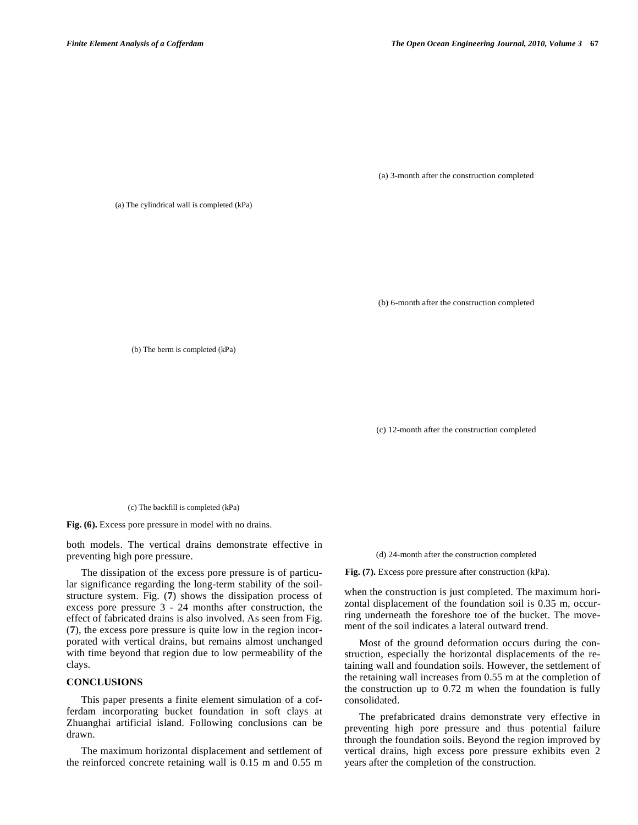(a) 3-month after the construction completed

(a) The cylindrical wall is completed (kPa)

(b) 6-month after the construction completed

(b) The berm is completed (kPa)

(c) 12-month after the construction completed

(c) The backfill is completed (kPa)

**Fig. (6).** Excess pore pressure in model with no drains.

both models. The vertical drains demonstrate effective in preventing high pore pressure.

The dissipation of the excess pore pressure is of particular significance regarding the long-term stability of the soilstructure system. Fig. (**7**) shows the dissipation process of excess pore pressure 3 - 24 months after construction, the effect of fabricated drains is also involved. As seen from Fig. (**7**), the excess pore pressure is quite low in the region incorporated with vertical drains, but remains almost unchanged with time beyond that region due to low permeability of the clays.

## **CONCLUSIONS**

This paper presents a finite element simulation of a cofferdam incorporating bucket foundation in soft clays at Zhuanghai artificial island. Following conclusions can be drawn.

The maximum horizontal displacement and settlement of the reinforced concrete retaining wall is 0.15 m and 0.55 m (d) 24-month after the construction completed

**Fig. (7).** Excess pore pressure after construction (kPa).

when the construction is just completed. The maximum horizontal displacement of the foundation soil is 0.35 m, occurring underneath the foreshore toe of the bucket. The movement of the soil indicates a lateral outward trend.

Most of the ground deformation occurs during the construction, especially the horizontal displacements of the retaining wall and foundation soils. However, the settlement of the retaining wall increases from 0.55 m at the completion of the construction up to 0.72 m when the foundation is fully consolidated.

The prefabricated drains demonstrate very effective in preventing high pore pressure and thus potential failure through the foundation soils. Beyond the region improved by vertical drains, high excess pore pressure exhibits even 2 years after the completion of the construction.